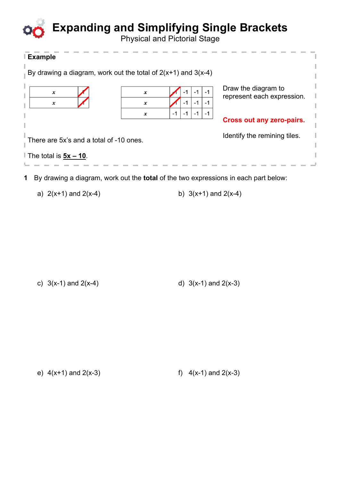## **Expanding and Simplifying Single Brackets**

Physical and Pictorial Stage

| ∣ Example                                                                                  |   |                              |                                  |  |
|--------------------------------------------------------------------------------------------|---|------------------------------|----------------------------------|--|
| By drawing a diagram, work out the total of $2(x+1)$ and $3(x-4)$                          |   |                              |                                  |  |
| x                                                                                          | x | -1                           | Draw the diagram to              |  |
| x                                                                                          | x | $-1$<br>$-1$<br>$-1$         | represent each expression.       |  |
|                                                                                            | x | -1<br>-1<br>$-1$<br>-1       | <b>Cross out any zero-pairs.</b> |  |
|                                                                                            |   |                              |                                  |  |
| There are 5x's and a total of -10 ones.                                                    |   | Identify the remining tiles. |                                  |  |
| The total is $5x - 10$ .                                                                   |   |                              |                                  |  |
| By drawing a diagram, work out the <b>total</b> of the two expressions in each part below: |   |                              |                                  |  |

a)  $2(x+1)$  and  $2(x-4)$  b)  $3(x+1)$  and  $2(x-4)$ 

c)  $3(x-1)$  and  $2(x-4)$  d)  $3(x-1)$  and  $2(x-3)$ 

e)  $4(x+1)$  and  $2(x-3)$  f)  $4(x-1)$  and  $2(x-3)$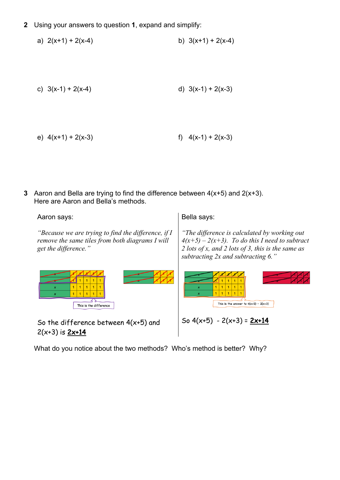**2** Using your answers to question **1**, expand and simplify:

a) 
$$
2(x+1) + 2(x-4)
$$
 b)  $3(x+1) + 2(x-4)$ 

c) 
$$
3(x-1) + 2(x-4)
$$
 d)  $3(x-1) + 2(x-3)$ 

e) 
$$
4(x+1) + 2(x-3)
$$
  
f)  $4(x-1) + 2(x-3)$ 

**3** Aaron and Bella are trying to find the difference between 4(x+5) and 2(x+3). Here are Aaron and Bella's methods.

Aaron says:

*"Because we are trying to find the difference, if I remove the same tiles from both diagrams I will get the difference."*

Bella says:

*"The difference is calculated by working out*   $4(x+5) - 2(x+3)$ . To do this I need to subtract *2 lots of x, and 2 lots of 3, this is the same as subtracting 2x and subtracting 6."*



What do you notice about the two methods? Who's method is better? Why?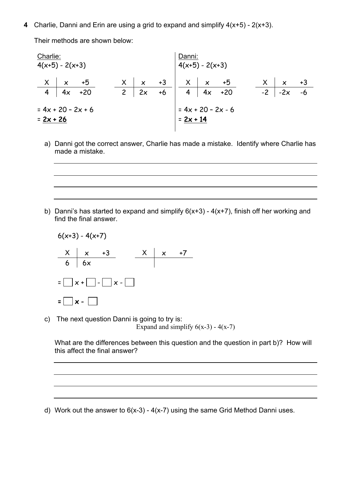**4** Charlie, Danni and Erin are using a grid to expand and simplify 4(x+5) - 2(x+3).

Their methods are shown below:

| $+3$ |
|------|
| $-6$ |
|      |
|      |
|      |

a) Danni got the correct answer, Charlie has made a mistake. Identify where Charlie has made a mistake.

b) Danni's has started to expand and simplify  $6(x+3) - 4(x+7)$ , finish off her working and find the final answer.

$$
6(x+3) - 4(x+7)
$$
\n
$$
\begin{array}{c|c}\nX & x & +3 \\
6 & 6x & x\n\end{array}
$$
\n
$$
=\begin{bmatrix}\nx+ \begin{bmatrix}\n- & - \\
x+ \end{bmatrix} & x-\end{bmatrix}
$$
\n
$$
=\begin{bmatrix}\nx+ \begin{bmatrix}\n- & - \\
x- \end{bmatrix}\n\end{array}
$$

c) The next question Danni is going to try is: Expand and simplify  $6(x-3) - 4(x-7)$ 

What are the differences between this question and the question in part b)? How will this affect the final answer?

d) Work out the answer to  $6(x-3) - 4(x-7)$  using the same Grid Method Danni uses.